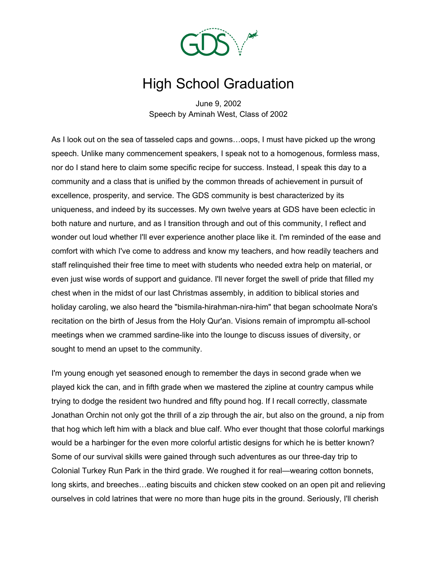

## High School Graduation

June 9, 2002 Speech by Aminah West, Class of 2002

As I look out on the sea of tasseled caps and gowns…oops, I must have picked up the wrong speech. Unlike many commencement speakers, I speak not to a homogenous, formless mass, nor do I stand here to claim some specific recipe for success. Instead, I speak this day to a community and a class that is unified by the common threads of achievement in pursuit of excellence, prosperity, and service. The GDS community is best characterized by its uniqueness, and indeed by its successes. My own twelve years at GDS have been eclectic in both nature and nurture, and as I transition through and out of this community, I reflect and wonder out loud whether I'll ever experience another place like it. I'm reminded of the ease and comfort with which I've come to address and know my teachers, and how readily teachers and staff relinquished their free time to meet with students who needed extra help on material, or even just wise words of support and guidance. I'll never forget the swell of pride that filled my chest when in the midst of our last Christmas assembly, in addition to biblical stories and holiday caroling, we also heard the "bismila-hirahman-nira-him" that began schoolmate Nora's recitation on the birth of Jesus from the Holy Qur'an. Visions remain of impromptu all-school meetings when we crammed sardine-like into the lounge to discuss issues of diversity, or sought to mend an upset to the community.

I'm young enough yet seasoned enough to remember the days in second grade when we played kick the can, and in fifth grade when we mastered the zipline at country campus while trying to dodge the resident two hundred and fifty pound hog. If I recall correctly, classmate Jonathan Orchin not only got the thrill of a zip through the air, but also on the ground, a nip from that hog which left him with a black and blue calf. Who ever thought that those colorful markings would be a harbinger for the even more colorful artistic designs for which he is better known? Some of our survival skills were gained through such adventures as our three-day trip to Colonial Turkey Run Park in the third grade. We roughed it for real—wearing cotton bonnets, long skirts, and breeches…eating biscuits and chicken stew cooked on an open pit and relieving ourselves in cold latrines that were no more than huge pits in the ground. Seriously, I'll cherish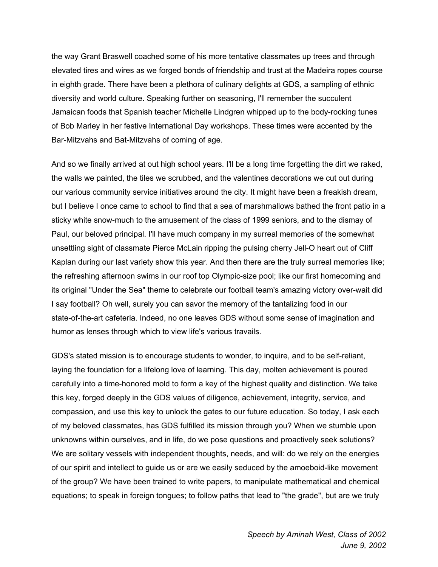the way Grant Braswell coached some of his more tentative classmates up trees and through elevated tires and wires as we forged bonds of friendship and trust at the Madeira ropes course in eighth grade. There have been a plethora of culinary delights at GDS, a sampling of ethnic diversity and world culture. Speaking further on seasoning, I'll remember the succulent Jamaican foods that Spanish teacher Michelle Lindgren whipped up to the body-rocking tunes of Bob Marley in her festive International Day workshops. These times were accented by the Bar-Mitzvahs and Bat-Mitzvahs of coming of age.

And so we finally arrived at out high school years. I'll be a long time forgetting the dirt we raked, the walls we painted, the tiles we scrubbed, and the valentines decorations we cut out during our various community service initiatives around the city. It might have been a freakish dream, but I believe I once came to school to find that a sea of marshmallows bathed the front patio in a sticky white snow-much to the amusement of the class of 1999 seniors, and to the dismay of Paul, our beloved principal. I'll have much company in my surreal memories of the somewhat unsettling sight of classmate Pierce McLain ripping the pulsing cherry Jell-O heart out of Cliff Kaplan during our last variety show this year. And then there are the truly surreal memories like; the refreshing afternoon swims in our roof top Olympic-size pool; like our first homecoming and its original "Under the Sea" theme to celebrate our football team's amazing victory over-wait did I say football? Oh well, surely you can savor the memory of the tantalizing food in our state-of-the-art cafeteria. Indeed, no one leaves GDS without some sense of imagination and humor as lenses through which to view life's various travails.

GDS's stated mission is to encourage students to wonder, to inquire, and to be self-reliant, laying the foundation for a lifelong love of learning. This day, molten achievement is poured carefully into a time-honored mold to form a key of the highest quality and distinction. We take this key, forged deeply in the GDS values of diligence, achievement, integrity, service, and compassion, and use this key to unlock the gates to our future education. So today, I ask each of my beloved classmates, has GDS fulfilled its mission through you? When we stumble upon unknowns within ourselves, and in life, do we pose questions and proactively seek solutions? We are solitary vessels with independent thoughts, needs, and will: do we rely on the energies of our spirit and intellect to guide us or are we easily seduced by the amoeboid-like movement of the group? We have been trained to write papers, to manipulate mathematical and chemical equations; to speak in foreign tongues; to follow paths that lead to "the grade", but are we truly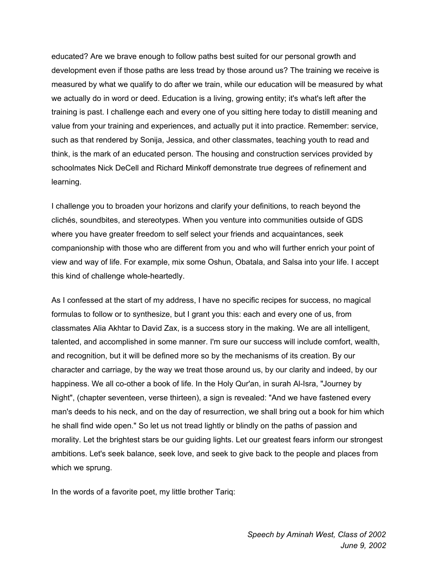educated? Are we brave enough to follow paths best suited for our personal growth and development even if those paths are less tread by those around us? The training we receive is measured by what we qualify to do after we train, while our education will be measured by what we actually do in word or deed. Education is a living, growing entity; it's what's left after the training is past. I challenge each and every one of you sitting here today to distill meaning and value from your training and experiences, and actually put it into practice. Remember: service, such as that rendered by Sonija, Jessica, and other classmates, teaching youth to read and think, is the mark of an educated person. The housing and construction services provided by schoolmates Nick DeCell and Richard Minkoff demonstrate true degrees of refinement and learning.

I challenge you to broaden your horizons and clarify your definitions, to reach beyond the clichés, soundbites, and stereotypes. When you venture into communities outside of GDS where you have greater freedom to self select your friends and acquaintances, seek companionship with those who are different from you and who will further enrich your point of view and way of life. For example, mix some Oshun, Obatala, and Salsa into your life. I accept this kind of challenge whole-heartedly.

As I confessed at the start of my address, I have no specific recipes for success, no magical formulas to follow or to synthesize, but I grant you this: each and every one of us, from classmates Alia Akhtar to David Zax, is a success story in the making. We are all intelligent, talented, and accomplished in some manner. I'm sure our success will include comfort, wealth, and recognition, but it will be defined more so by the mechanisms of its creation. By our character and carriage, by the way we treat those around us, by our clarity and indeed, by our happiness. We all co-other a book of life. In the Holy Qur'an, in surah Al-Isra, "Journey by Night", (chapter seventeen, verse thirteen), a sign is revealed: "And we have fastened every man's deeds to his neck, and on the day of resurrection, we shall bring out a book for him which he shall find wide open." So let us not tread lightly or blindly on the paths of passion and morality. Let the brightest stars be our guiding lights. Let our greatest fears inform our strongest ambitions. Let's seek balance, seek love, and seek to give back to the people and places from which we sprung.

In the words of a favorite poet, my little brother Tariq: